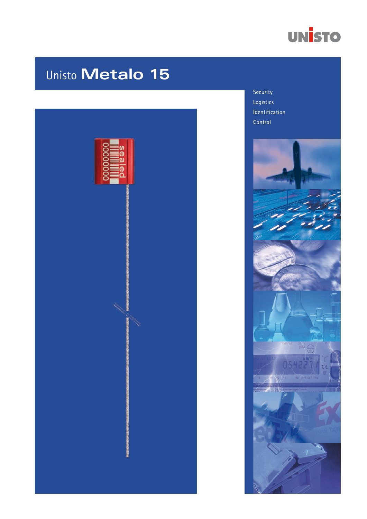

# Unisto Metalo 15



Security Logistics Identification Control